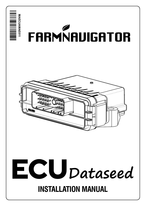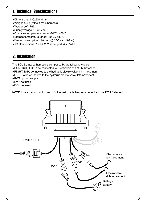# 1. Technical Specifications

- ●Dimensions: 130x90x40mm
- ●Weight: 500g (without main harness)
- ●Waterproof: IP67
- ●Supply voltage: 10-35 Vdc
- ●Operative temperature range: -20°C / +60°C
- ●Storage temperature range: -30°C / +80°C
- $\bullet$  Power consumption: 14A max  $\omega$  12Vdc (~ 170 W)
- ●I/O Connections: 1 x RS232 serial port, 4 x PWM

# 2. Installation

The ECU Dataseed harness is composed by the following cables:

- ●CONTROLLER: To be connected to "Controller" port of G7 Dataseed
- ●RIGHT: To be connected to the hydraulic electro valve, right movement
- ●LEFT: To be connected to the hydraulic electro valve, left movement
- ●PWR: power supply
- EV3: not used
- ●EV4: not used

**NOTE:** Use a 1/4 inch nut driver to fix the main cable harness connector to the ECU Dataseed.

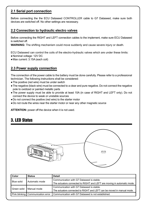### **2.1 Serial port connection**

Before connecting the the ECU Dataseed CONTROLLER cable to G7 Dataseed, make sure both devices are switched off. No other settings are necessary.

### **2.2 Connection to hydraulic electro valves**

Before connecting the RIGHT and LEFT connection cables to the implement, make sure ECU Dataseed is switched off.

**WARNING:** The shifting mechanism could move suddenly and cause severe injury or death.

ECU Dataseed can control the coils of the electro-hydraulic valves which are under these limits:

- ●Nominal voltage: 12V DC
- ●Max current: 3.15A (each coil)

#### **2.3 Power supply connection**

The connection of the power cable to the battery must be done carefully. Please refer to a professional technician. The following instructions shall be considered:

- The positive (red wire) must be under switch
- ●The negative (black wire) must be connected to a clear and pure negative. Do not connect the negative pole to oxidized or painted metallic parts
- ●The power supply must be able to provide at least 10A (in case of RIGHT and LEFT only). Do not connect the device to weak or unstable sources
- ●Do not connect the positive (red wire) to the starter motor
- ●Do not route the wires near the starter motor or near any other magnetic source

**ATTENTION:** power off the device when it is not used.

### 3. LED Status



| Color       | <b>Status</b>                       | Detail                                                                  |
|-------------|-------------------------------------|-------------------------------------------------------------------------|
| Blue solid  | Automatic mode                      | Communication with G7 Dataseed is stable.                               |
|             |                                     | The actuators connected to RIGHT and LEFT are moving in automatic mode. |
| Green solid | I Manual mode                       | Communication with G7 Dataseed is stable.                               |
|             |                                     | The actuators connected to RIGHT and LEFT can be moved in manual mode.  |
|             | Pink blinking   Communication error | Communication with G7 Dataseed is not established.                      |